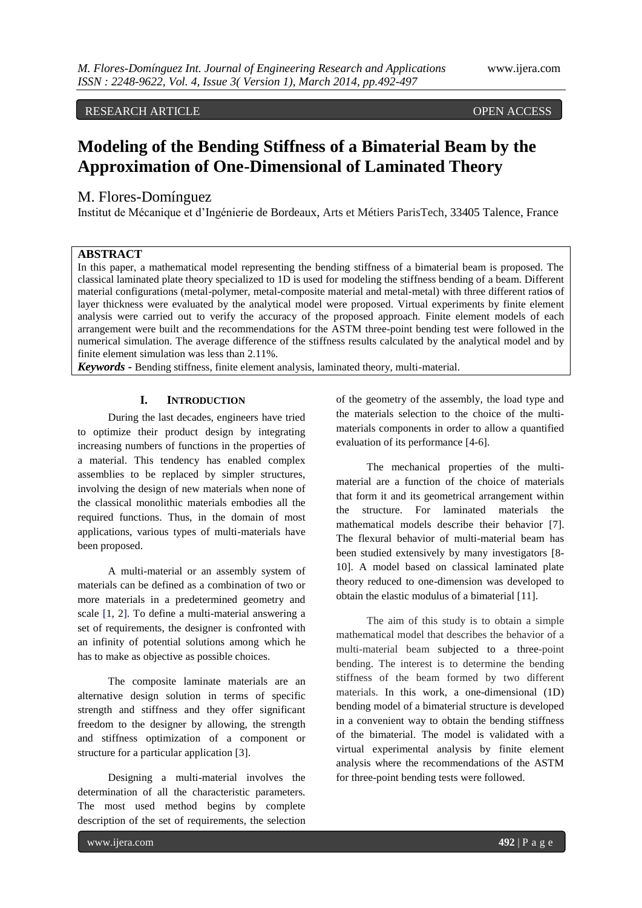# RESEARCH ARTICLE OPEN ACCESS

# **Modeling of the Bending Stiffness of a Bimaterial Beam by the Approximation of One-Dimensional of Laminated Theory**

# M. Flores-Domínguez

Institut de Mécanique et d'Ingénierie de Bordeaux, Arts et Métiers ParisTech, 33405 Talence, France

# **ABSTRACT**

In this paper, a mathematical model representing the bending stiffness of a bimaterial beam is proposed. The classical laminated plate theory specialized to 1D is used for modeling the stiffness bending of a beam. Different material configurations (metal-polymer, metal-composite material and metal-metal) with three different ratio**s** of layer thickness were evaluated by the analytical model were proposed. Virtual experiments by finite element analysis were carried out to verify the accuracy of the proposed approach. Finite element models of each arrangement were built and the recommendations for the ASTM three-point bending test were followed in the numerical simulation. The average difference of the stiffness results calculated by the analytical model and by finite element simulation was less than 2.11%.

*Keywords* **-** Bending stiffness, finite element analysis, laminated theory, multi-material.

## **I. INTRODUCTION**

During the last decades, engineers have tried to optimize their product design by integrating increasing numbers of functions in the properties of a material. This tendency has enabled complex assemblies to be replaced by simpler structures, involving the design of new materials when none of the classical monolithic materials embodies all the required functions. Thus, in the domain of most applications, various types of multi-materials have been proposed.

A multi-material or an assembly system of materials can be defined as a combination of two or more materials in a predetermined geometry and scale [1, 2]. To define a multi-material answering a set of requirements, the designer is confronted with an infinity of potential solutions among which he has to make as objective as possible choices.

The composite laminate materials are an alternative design solution in terms of specific strength and stiffness and they offer significant freedom to the designer by allowing, the strength and stiffness optimization of a component or structure for a particular application [3].

Designing a multi-material involves the determination of all the characteristic parameters. The most used method begins by complete description of the set of requirements, the selection of the geometry of the assembly, the load type and the materials selection to the choice of the multimaterials components in order to allow a quantified evaluation of its performance [4-6].

The mechanical properties of the multimaterial are a function of the choice of materials that form it and its geometrical arrangement within the structure. For laminated materials the mathematical models describe their behavior [7]. The flexural behavior of multi-material beam has been studied extensively by many investigators [8- 10]. A model based on classical laminated plate theory reduced to one-dimension was developed to obtain the elastic modulus of a bimaterial [11].

The aim of this study is to obtain a simple mathematical model that describes the behavior of a multi-material beam subjected to a three-point bending. The interest is to determine the bending stiffness of the beam formed by two different materials. In this work, a one-dimensional (1D) bending model of a bimaterial structure is developed in a convenient way to obtain the bending stiffness of the bimaterial. The model is validated with a virtual experimental analysis by finite element analysis where the recommendations of the ASTM for three-point bending tests were followed.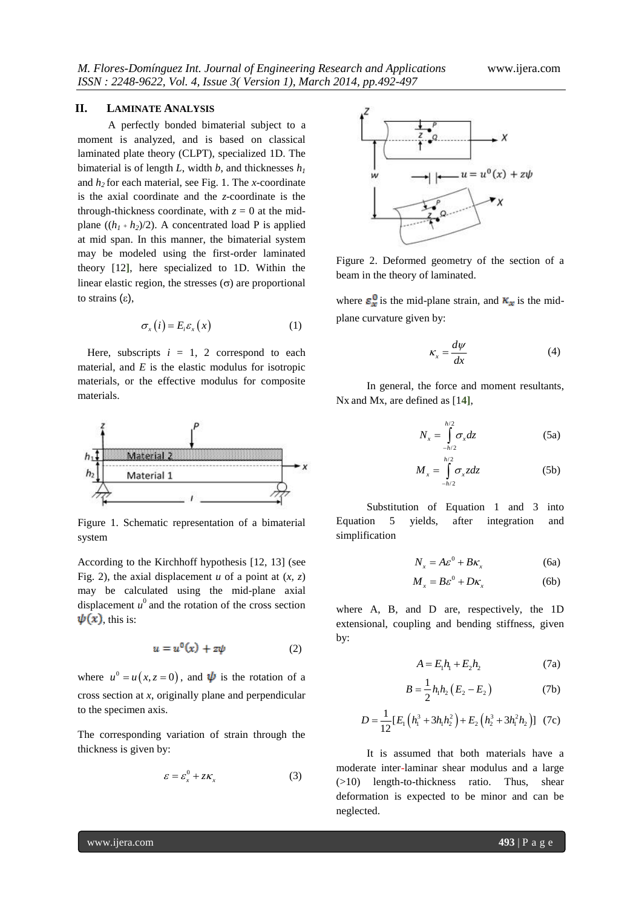## **II. LAMINATE ANALYSIS**

A perfectly bonded bimaterial subject to a moment is analyzed, and is based on classical laminated plate theory (CLPT), specialized 1D. The bimaterial is of length *L*, width *b*, and thicknesses  $h<sub>l</sub>$ and *h<sup>2</sup>* for each material, see Fig. 1. The *x*-coordinate is the axial coordinate and the *z*-coordinate is the through-thickness coordinate, with  $z = 0$  at the midplane  $((h_1 + h_2)/2)$ . A concentrated load P is applied at mid span. In this manner, the bimaterial system may be modeled using the first-order laminated theory [12**]**, here specialized to 1D. Within the linear elastic region, the stresses  $(\sigma)$  are proportional to strains  $(\epsilon)$ ,

$$
\sigma_x(i) = E_i \varepsilon_x(x) \tag{1}
$$

Here, subscripts  $i = 1, 2$  correspond to each material, and  $E$  is the elastic modulus for isotropic materials, or the effective modulus for composite materials.



Figure 1. Schematic representation of a bimaterial system

According to the Kirchhoff hypothesis [12, 13] (see Fig. 2), the axial displacement  $u$  of a point at  $(x, z)$ may be calculated using the mid-plane axial displacement  $u^0$  and the rotation of the cross section  $\psi(x)$ , this is:

$$
u = u^0(x) + z\psi \tag{2}
$$

where  $u^0 = u(x, z = 0)$ , and  $\psi$  is the rotation of a cross section at *x*, originally plane and perpendicular to the specimen axis.

The corresponding variation of strain through the thickness is given by:

$$
\varepsilon = \varepsilon_x^0 + z \kappa_x \tag{3}
$$



Figure 2. Deformed geometry of the section of a beam in the theory of laminated.

where  $\varepsilon_x^0$  is the mid-plane strain, and  $\kappa_x$  is the midplane curvature given by:

$$
\kappa_x = \frac{d\psi}{dx} \tag{4}
$$

In general, the force and moment resultants, Nx and Mx, are defined as [1**4]**,

$$
N_x = \int_{-h/2}^{h/2} \sigma_x dz
$$
 (5a)

$$
M_x = \int_{-h/2}^{h/2} \sigma_x z dz
$$
 (5b)

Substitution of Equation 1 and 3 into Equation 5 yields, after integration and simplification

$$
N_x = A\varepsilon^0 + B\kappa_x \tag{6a}
$$

$$
M_{x} = B\varepsilon^{0} + D\kappa_{x}
$$
 (6b)

where A, B, and D are, respectively, the 1D extensional, coupling and bending stiffness, given by:

$$
A = E_1 h_1 + E_2 h_2 \tag{7a}
$$

$$
B = \frac{1}{2} h_1 h_2 (E_2 - E_2)
$$
 (7b)

$$
D = \frac{1}{12} [E_1 (h_1^3 + 3h_1 h_2^2) + E_2 (h_2^3 + 3h_1^2 h_2)]
$$
 (7c)

It is assumed that both materials have a moderate inter-laminar shear modulus and a large (>10) length-to-thickness ratio. Thus, shear deformation is expected to be minor and can be neglected.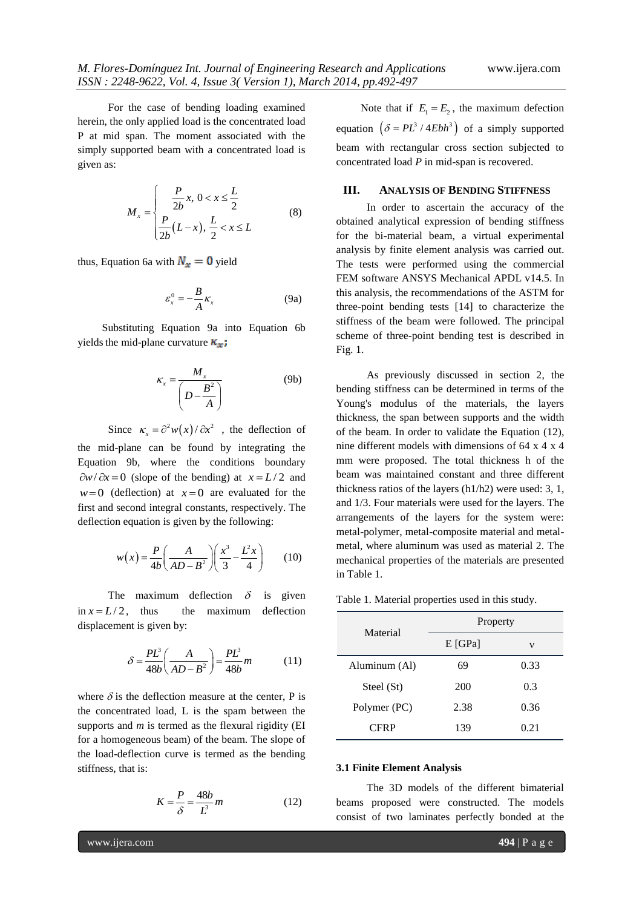For the case of bending loading examined herein, the only applied load is the concentrated load P at mid span. The moment associated with the simply supported beam with a concentrated load is given as:

$$
M_{x} = \begin{cases} \frac{P}{2b}x, & 0 < x \leq \frac{L}{2} \\ \frac{P}{2b}(L-x), & \frac{L}{2} < x \leq L \end{cases}
$$
(8)

thus, Equation 6a with  $N_x = 0$  yield

$$
\varepsilon_x^0 = -\frac{B}{A} \kappa_x \tag{9a}
$$

Substituting Equation 9a into Equation 6b yields the mid-plane curvature  $\kappa_{\mathbf{x}}$ ;

$$
\kappa_x = \frac{M_x}{\left(D - \frac{B^2}{A}\right)}\tag{9b}
$$

Since  $\kappa_x = \partial^2 w(x)/\partial x^2$ , the deflection of the mid-plane can be found by integrating the Equation 9b, where the conditions boundary  $\partial w / \partial x = 0$  (slope of the bending) at  $x = L/2$  and  $w=0$  (deflection) at  $x=0$  are evaluated for the first and second integral constants, respectively. The deflection equation is given by the following:

$$
w(x) = \frac{P}{4b} \left( \frac{A}{AD - B^2} \right) \left( \frac{x^3}{3} - \frac{L^2 x}{4} \right) \tag{10}
$$

The maximum deflection  $\delta$  is given in  $x = L/2$ , thus the maximum deflection displacement is given by:

$$
\delta = \frac{PL^3}{48b} \left( \frac{A}{AD - B^2} \right) = \frac{PL^3}{48b} m \tag{11}
$$

where  $\delta$  is the deflection measure at the center, P is the concentrated load, L is the spam between the supports and *m* is termed as the flexural rigidity (EI for a homogeneous beam) of the beam. The slope of the load-deflection curve is termed as the bending stiffness, that is:

$$
K = \frac{P}{\delta} = \frac{48b}{L^3}m\tag{12}
$$

Note that if  $E_1 = E_2$ , the maximum defection equation  $(\delta = PL^3 / 4Ebh^3)$  of a simply supported beam with rectangular cross section subjected to concentrated load *P* in mid-span is recovered.

#### **III. ANALYSIS OF BENDING STIFFNESS**

In order to ascertain the accuracy of the obtained analytical expression of bending stiffness for the bi-material beam, a virtual experimental analysis by finite element analysis was carried out. The tests were performed using the commercial FEM software ANSYS Mechanical APDL v14.5. In this analysis, the recommendations of the ASTM for three-point bending tests [14] to characterize the stiffness of the beam were followed. The principal scheme of three-point bending test is described in Fig. 1.

As previously discussed in section 2, the bending stiffness can be determined in terms of the Young's modulus of the materials, the layers thickness, the span between supports and the width of the beam. In order to validate the Equation (12), nine different models with dimensions of 64 x 4 x 4 mm were proposed. The total thickness h of the beam was maintained constant and three different thickness ratios of the layers (h1/h2) were used: 3, 1, and 1/3. Four materials were used for the layers. The arrangements of the layers for the system were: metal-polymer, metal-composite material and metalmetal, where aluminum was used as material 2. The mechanical properties of the materials are presented in Table 1.

Table 1. Material properties used in this study.

| Material      | Property  |      |  |
|---------------|-----------|------|--|
|               | $E$ [GPa] | ν    |  |
| Aluminum (Al) | 69        | 0.33 |  |
| Steel (St)    | 200       | 0.3  |  |
| Polymer (PC)  | 2.38      | 0.36 |  |
| <b>CFRP</b>   | 139       | 0.21 |  |

#### **3.1 Finite Element Analysis**

The 3D models of the different bimaterial beams proposed were constructed. The models consist of two laminates perfectly bonded at the

www.ijera.com **494** | P a g e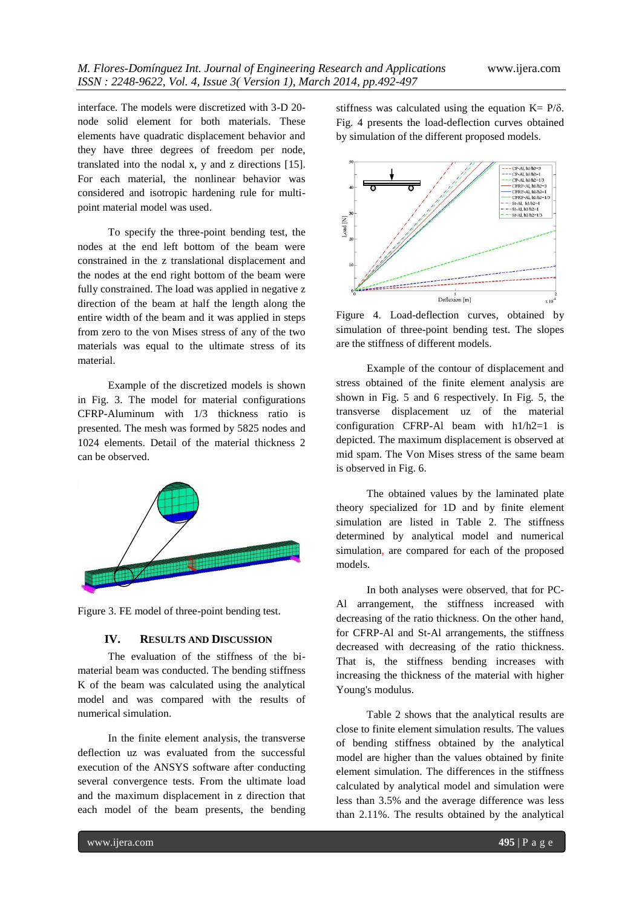interface. The models were discretized with 3-D 20 node solid element for both materials. These elements have quadratic displacement behavior and they have three degrees of freedom per node, translated into the nodal x, y and z directions [15]. For each material, the nonlinear behavior was considered and isotropic hardening rule for multipoint material model was used.

To specify the three-point bending test, the nodes at the end left bottom of the beam were constrained in the z translational displacement and the nodes at the end right bottom of the beam were fully constrained. The load was applied in negative z direction of the beam at half the length along the entire width of the beam and it was applied in steps from zero to the von Mises stress of any of the two materials was equal to the ultimate stress of its material.

Example of the discretized models is shown in Fig. 3. The model for material configurations CFRP-Aluminum with 1/3 thickness ratio is presented. The mesh was formed by 5825 nodes and 1024 elements. Detail of the material thickness 2 can be observed.



Figure 3. FE model of three-point bending test.

### **IV. RESULTS AND DISCUSSION**

The evaluation of the stiffness of the bimaterial beam was conducted. The bending stiffness K of the beam was calculated using the analytical model and was compared with the results of numerical simulation.

In the finite element analysis, the transverse deflection uz was evaluated from the successful execution of the ANSYS software after conducting several convergence tests. From the ultimate load and the maximum displacement in z direction that each model of the beam presents, the bending

stiffness was calculated using the equation  $K = P/\delta$ . Fig. 4 presents the load-deflection curves obtained by simulation of the different proposed models.



Figure 4. Load-deflection curves, obtained by simulation of three-point bending test. The slopes are the stiffness of different models.

Example of the contour of displacement and stress obtained of the finite element analysis are shown in Fig. 5 and 6 respectively. In Fig. 5, the transverse displacement uz of the material configuration CFRP-Al beam with h1/h2=1 is depicted. The maximum displacement is observed at mid spam. The Von Mises stress of the same beam is observed in Fig. 6.

The obtained values by the laminated plate theory specialized for 1D and by finite element simulation are listed in Table 2. The stiffness determined by analytical model and numerical simulation, are compared for each of the proposed models.

In both analyses were observed, that for PC-Al arrangement, the stiffness increased with decreasing of the ratio thickness. On the other hand, for CFRP-Al and St-Al arrangements, the stiffness decreased with decreasing of the ratio thickness. That is, the stiffness bending increases with increasing the thickness of the material with higher Young's modulus.

Table 2 shows that the analytical results are close to finite element simulation results. The values of bending stiffness obtained by the analytical model are higher than the values obtained by finite element simulation. The differences in the stiffness calculated by analytical model and simulation were less than 3.5% and the average difference was less than 2.11%. The results obtained by the analytical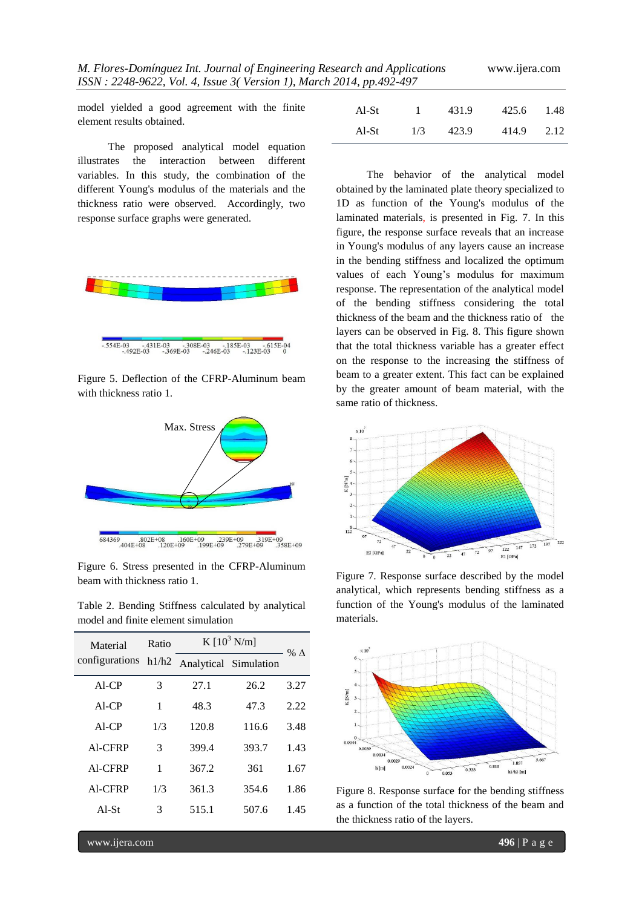model yielded a good agreement with the finite element results obtained.

The proposed analytical model equation illustrates the interaction between different variables. In this study, the combination of the different Young's modulus of the materials and the thickness ratio were observed. Accordingly, two response surface graphs were generated.



Figure 5. Deflection of the CFRP-Aluminum beam with thickness ratio 1.



Figure 6. Stress presented in the CFRP-Aluminum beam with thickness ratio 1.

Table 2. Bending Stiffness calculated by analytical model and finite element simulation

| Material<br>configurations | Ratio | K $[10^3 \text{ N/m}]$ |                       |             |
|----------------------------|-------|------------------------|-----------------------|-------------|
|                            | h1/h2 |                        | Analytical Simulation | % $\Lambda$ |
| $AI$ -CP                   | 3     | 27.1                   | 26.2                  | 3.27        |
| $AI$ -CP                   | 1     | 48.3                   | 47.3                  | 2.22        |
| $AI$ -CP                   | 1/3   | 120.8                  | 116.6                 | 3.48        |
| Al-CFRP                    | 3     | 399.4                  | 393.7                 | 1.43        |
| Al-CFRP                    | 1     | 367.2                  | 361                   | 1.67        |
| Al-CFRP                    | 1/3   | 361.3                  | 354.6                 | 1.86        |
| $AI-St$                    | 3     | 515.1                  | 507.6                 | 1.45        |
|                            |       |                        |                       |             |

| 01 <del>1</del> , pp. <del>1</del> 72- <del>1</del> 77 |     |       |       |      |
|--------------------------------------------------------|-----|-------|-------|------|
| Al-St                                                  |     | 431.9 | 425.6 | 1.48 |
| Al-St                                                  | 1/3 | 423.9 | 414.9 | 2.12 |

The behavior of the analytical model obtained by the laminated plate theory specialized to 1D as function of the Young's modulus of the laminated materials, is presented in Fig. 7. In this figure, the response surface reveals that an increase in Young's modulus of any layers cause an increase in the bending stiffness and localized the optimum values of each Young's modulus for maximum response. The representation of the analytical model of the bending stiffness considering the total thickness of the beam and the thickness ratio of the layers can be observed in Fig. 8. This figure shown that the total thickness variable has a greater effect on the response to the increasing the stiffness of beam to a greater extent. This fact can be explained by the greater amount of beam material, with the same ratio of thickness.



Figure 7. Response surface described by the model analytical, which represents bending stiffness as a function of the Young's modulus of the laminated materials.



Figure 8. Response surface for the bending stiffness as a function of the total thickness of the beam and the thickness ratio of the layers.